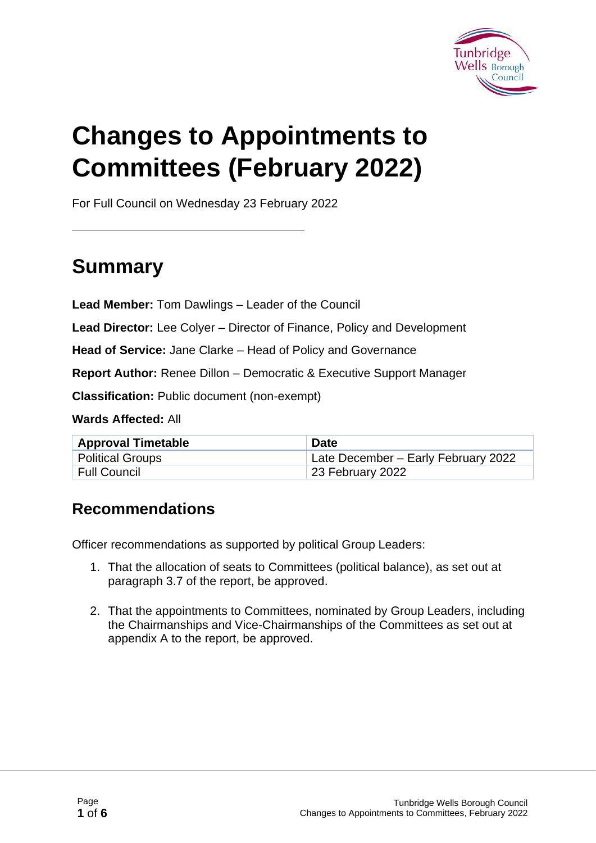

# **Changes to Appointments to Committees (February 2022)**

For Full Council on Wednesday 23 February 2022

# **Summary**

**Lead Member:** Tom Dawlings – Leader of the Council

**Lead Director:** Lee Colyer – Director of Finance, Policy and Development

**Head of Service:** Jane Clarke – Head of Policy and Governance

**Report Author:** Renee Dillon – Democratic & Executive Support Manager

**Classification:** Public document (non-exempt)

**Wards Affected:** All

| <b>Approval Timetable</b> | <b>Date</b>                         |
|---------------------------|-------------------------------------|
| <b>Political Groups</b>   | Late December - Early February 2022 |
| Full Council              | 23 February 2022                    |

#### **Recommendations**

Officer recommendations as supported by political Group Leaders:

- 1. That the allocation of seats to Committees (political balance), as set out at paragraph 3.7 of the report, be approved.
- 2. That the appointments to Committees, nominated by Group Leaders, including the Chairmanships and Vice-Chairmanships of the Committees as set out at appendix A to the report, be approved.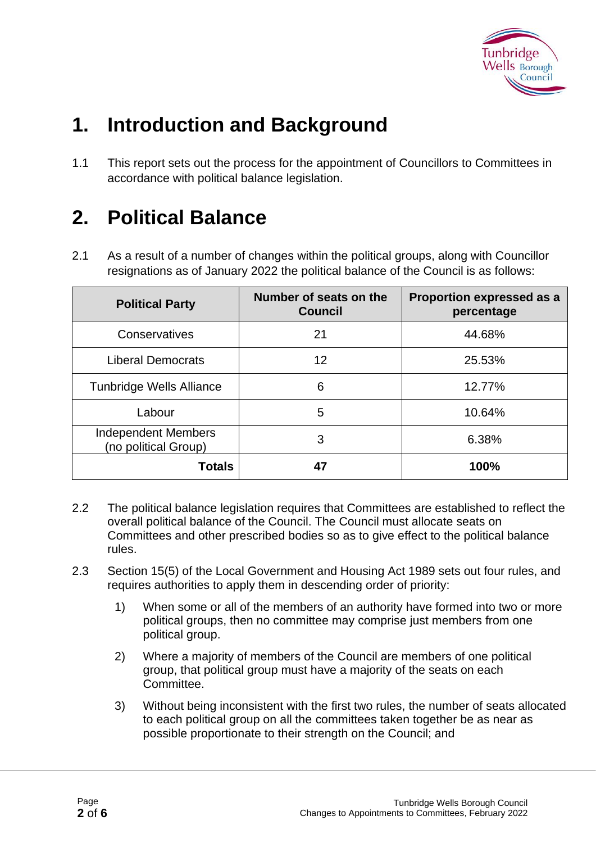

## **1. Introduction and Background**

1.1 This report sets out the process for the appointment of Councillors to Committees in accordance with political balance legislation.

## **2. Political Balance**

2.1 As a result of a number of changes within the political groups, along with Councillor resignations as of January 2022 the political balance of the Council is as follows:

| <b>Political Party</b>                             | Number of seats on the<br><b>Council</b> | <b>Proportion expressed as a</b><br>percentage |  |  |
|----------------------------------------------------|------------------------------------------|------------------------------------------------|--|--|
| Conservatives                                      | 21                                       | 44.68%                                         |  |  |
| <b>Liberal Democrats</b>                           | 12 <sub>2</sub>                          | 25.53%                                         |  |  |
| <b>Tunbridge Wells Alliance</b>                    | 6                                        | 12.77%                                         |  |  |
| Labour                                             | 5                                        | 10.64%                                         |  |  |
| <b>Independent Members</b><br>(no political Group) | 3                                        | 6.38%                                          |  |  |
| Totals                                             |                                          | 100%                                           |  |  |

- 2.2 The political balance legislation requires that Committees are established to reflect the overall political balance of the Council. The Council must allocate seats on Committees and other prescribed bodies so as to give effect to the political balance rules.
- 2.3 Section 15(5) of the Local Government and Housing Act 1989 sets out four rules, and requires authorities to apply them in descending order of priority:
	- 1) When some or all of the members of an authority have formed into two or more political groups, then no committee may comprise just members from one political group.
	- 2) Where a majority of members of the Council are members of one political group, that political group must have a majority of the seats on each Committee.
	- 3) Without being inconsistent with the first two rules, the number of seats allocated to each political group on all the committees taken together be as near as possible proportionate to their strength on the Council; and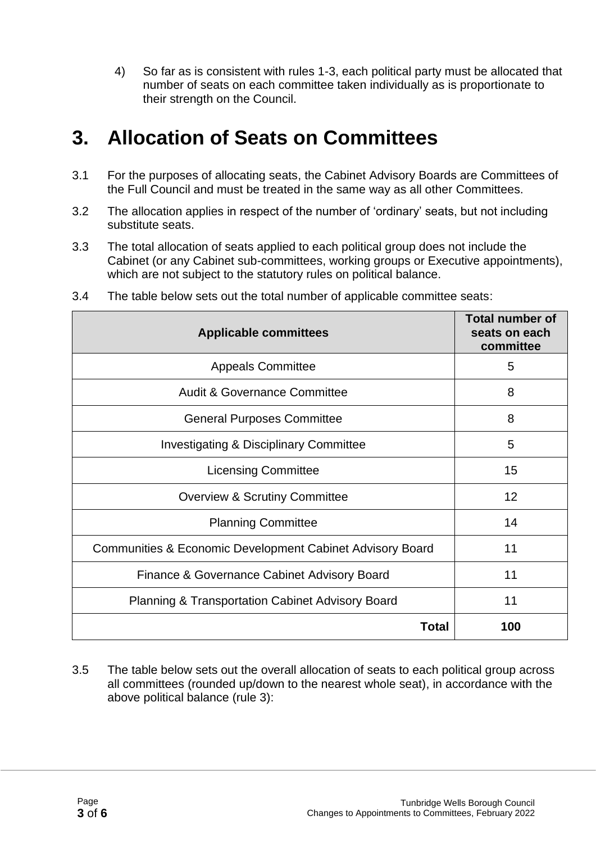4) So far as is consistent with rules 1-3, each political party must be allocated that number of seats on each committee taken individually as is proportionate to their strength on the Council.

#### **3. Allocation of Seats on Committees**

- 3.1 For the purposes of allocating seats, the Cabinet Advisory Boards are Committees of the Full Council and must be treated in the same way as all other Committees.
- 3.2 The allocation applies in respect of the number of 'ordinary' seats, but not including substitute seats.
- 3.3 The total allocation of seats applied to each political group does not include the Cabinet (or any Cabinet sub-committees, working groups or Executive appointments), which are not subject to the statutory rules on political balance.

| <b>Applicable committees</b>                                         | <b>Total number of</b><br>seats on each<br>committee |  |  |
|----------------------------------------------------------------------|------------------------------------------------------|--|--|
| <b>Appeals Committee</b>                                             | 5                                                    |  |  |
| <b>Audit &amp; Governance Committee</b>                              | 8                                                    |  |  |
| <b>General Purposes Committee</b>                                    | 8                                                    |  |  |
| <b>Investigating &amp; Disciplinary Committee</b>                    | 5                                                    |  |  |
| <b>Licensing Committee</b>                                           | 15                                                   |  |  |
| <b>Overview &amp; Scrutiny Committee</b>                             | 12                                                   |  |  |
| <b>Planning Committee</b>                                            | 14                                                   |  |  |
| <b>Communities &amp; Economic Development Cabinet Advisory Board</b> | 11                                                   |  |  |
| Finance & Governance Cabinet Advisory Board                          | 11                                                   |  |  |
| <b>Planning &amp; Transportation Cabinet Advisory Board</b>          | 11                                                   |  |  |
| <b>Total</b>                                                         | 100                                                  |  |  |

3.4 The table below sets out the total number of applicable committee seats:

3.5 The table below sets out the overall allocation of seats to each political group across all committees (rounded up/down to the nearest whole seat), in accordance with the above political balance (rule 3):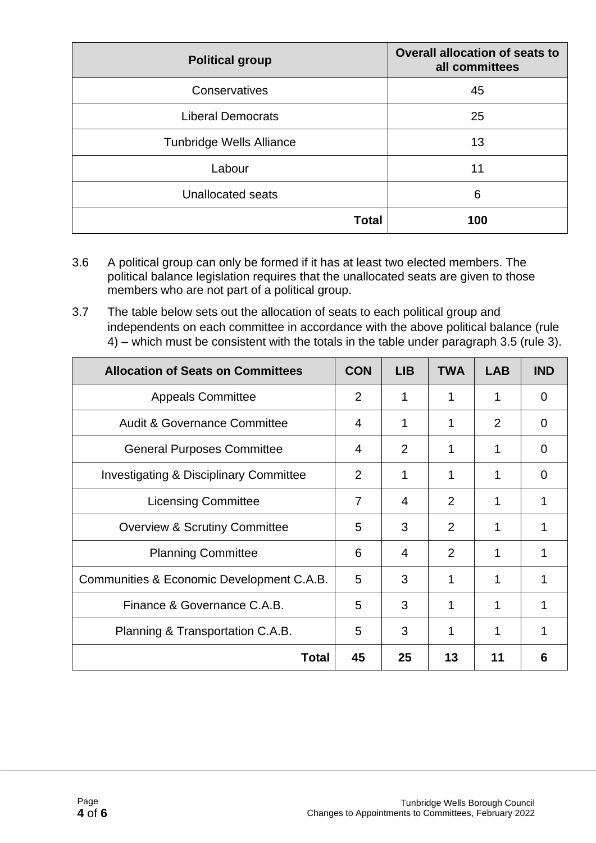| <b>Political group</b>          | <b>Overall allocation of seats to</b><br>all committees |  |  |
|---------------------------------|---------------------------------------------------------|--|--|
| Conservatives                   | 45                                                      |  |  |
| <b>Liberal Democrats</b>        | 25                                                      |  |  |
| <b>Tunbridge Wells Alliance</b> | 13                                                      |  |  |
| Labour                          | 11                                                      |  |  |
| <b>Unallocated seats</b>        | 6                                                       |  |  |
| <b>Total</b>                    | 100                                                     |  |  |

- 3.6 A political group can only be formed if it has at least two elected members. The political balance legislation requires that the unallocated seats are given to those members who are not part of a political group.
- 3.7 The table below sets out the allocation of seats to each political group and independents on each committee in accordance with the above political balance (rule 4) – which must be consistent with the totals in the table under paragraph 3.5 (rule 3).

| <b>Allocation of Seats on Committees</b>          | <b>CON</b> | LIB | <b>TWA</b> | <b>LAB</b> | <b>IND</b> |
|---------------------------------------------------|------------|-----|------------|------------|------------|
| <b>Appeals Committee</b>                          | 2          | 1   | 1          |            | 0          |
| <b>Audit &amp; Governance Committee</b>           | 4          | 1   | 1          | 2          | 0          |
| <b>General Purposes Committee</b>                 | 4          | 2   | 1          |            | 0          |
| <b>Investigating &amp; Disciplinary Committee</b> | 2          | 1   | 1          | 1          | 0          |
| <b>Licensing Committee</b>                        | 7          | 4   | 2          | 1          | 1          |
| <b>Overview &amp; Scrutiny Committee</b>          | 5          | 3   | 2          |            |            |
| <b>Planning Committee</b>                         | 6          | 4   | 2          |            |            |
| Communities & Economic Development C.A.B.         | 5          | 3   | 1          |            |            |
| Finance & Governance C.A.B.                       | 5          | 3   | 1          |            |            |
| Planning & Transportation C.A.B.                  | 5          | 3   | 1          |            |            |
| Total                                             | 45         | 25  | 13         | 11         | 6          |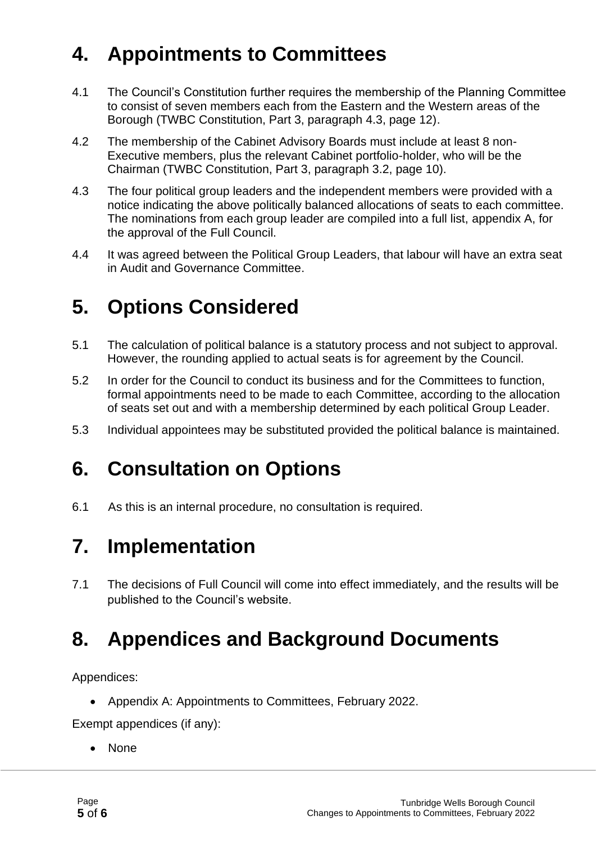# **4. Appointments to Committees**

- 4.1 The Council's Constitution further requires the membership of the Planning Committee to consist of seven members each from the Eastern and the Western areas of the Borough (TWBC Constitution, Part 3, paragraph 4.3, page 12).
- 4.2 The membership of the Cabinet Advisory Boards must include at least 8 non-Executive members, plus the relevant Cabinet portfolio-holder, who will be the Chairman (TWBC Constitution, Part 3, paragraph 3.2, page 10).
- 4.3 The four political group leaders and the independent members were provided with a notice indicating the above politically balanced allocations of seats to each committee. The nominations from each group leader are compiled into a full list, appendix A, for the approval of the Full Council.
- 4.4 It was agreed between the Political Group Leaders, that labour will have an extra seat in Audit and Governance Committee.

#### **5. Options Considered**

- 5.1 The calculation of political balance is a statutory process and not subject to approval. However, the rounding applied to actual seats is for agreement by the Council.
- 5.2 In order for the Council to conduct its business and for the Committees to function, formal appointments need to be made to each Committee, according to the allocation of seats set out and with a membership determined by each political Group Leader.
- 5.3 Individual appointees may be substituted provided the political balance is maintained.

## **6. Consultation on Options**

6.1 As this is an internal procedure, no consultation is required.

## **7. Implementation**

7.1 The decisions of Full Council will come into effect immediately, and the results will be published to the Council's website.

## **8. Appendices and Background Documents**

Appendices:

• Appendix A: Appointments to Committees, February 2022.

Exempt appendices (if any):

• None